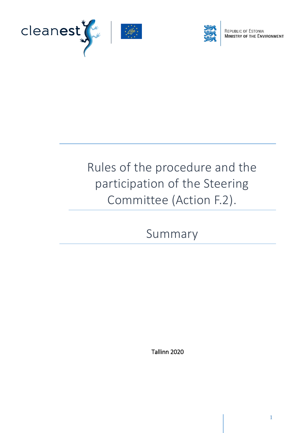



REPUBLIC OF ESTONIA<br>MINISTRY OF THE ENVIRONMENT

# Rules of the procedure and the participation of the Steering Committee (Action F.2).

Summary

Tallinn 2020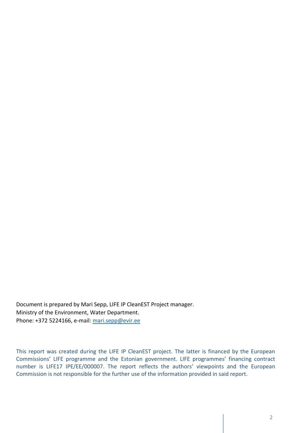Document is prepared by Mari Sepp, LIFE IP CleanEST Project manager. Ministry of the Environment, Water Department. Phone: +372 5224166, e-mail: [mari.sepp@evir.ee](mailto:mari.sepp@evir.ee)

This report was created during the LIFE IP CleanEST project. The latter is financed by the European Commissions' LIFE programme and the Estonian government. LIFE programmes' financing contract number is LIFE17 IPE/EE/000007. The report reflects the authors' viewpoints and the European Commission is not responsible for the further use of the information provided in said report.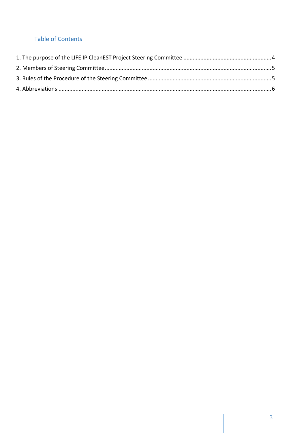## **Table of Contents**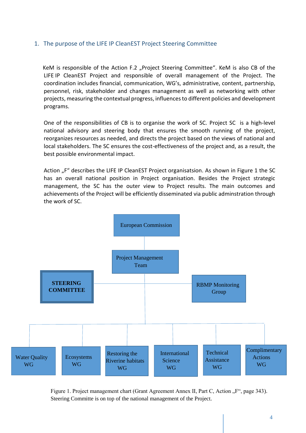### <span id="page-3-0"></span>1. The purpose of the LIFE IP CleanEST Project Steering Committee

KeM is responsible of the Action F.2 "Project Steering Committee". KeM is also CB of the LIFE IP CleanEST Project and responsible of overall management of the Project. The coordination includes financial, communication, WG's, administrative, content, partnership, personnel, risk, stakeholder and changes management as well as networking with other projects, measuring the contextual progress, influences to different policies and development programs.

One of the responsibilities of CB is to organise the work of SC. Project SC is a high-level national advisory and steering body that ensures the smooth running of the project, reorganizes resources as needed, and directs the project based on the views of national and local stakeholders. The SC ensures the cost-effectiveness of the project and, as a result, the best possible environmental impact.

Action "F" describes the LIFE IP CleanEST Project organisatsion. As shown in Figure 1 the SC has an overall national position in Project organisation. Besides the Project strategic management, the SC has the outer view to Project results. The main outcomes and achievements of the Project will be efficiently disseminated via public adminstration through the work of SC.



Figure 1. Project management chart (Grant Agreement Annex II, Part C, Action ...F", page 343). Steering Committe is on top of the national management of the Project.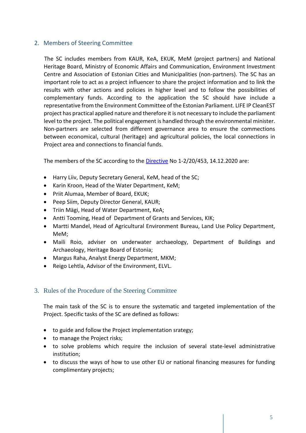#### <span id="page-4-0"></span>2. Members of Steering Committee

 The SC includes members from KAUR, KeA, EKUK, MeM (project partners) and National Heritage Board, Ministry of Economic Affairs and Communication, Environment Investment Centre and Association of Estonian Cities and Municipalities (non-partners). The SC has an important role to act as a project influencer to share the project information and to link the results with other actions and policies in higher level and to follow the possibilities of complementary funds. According to the application the SC should have include a representative from the Environment Committee of the Estonian Parliament. LIFE IP CleanEST project has practical applied nature and therefore it is not necessary to include the parliament level to the project. The political engagement is handled through the environmental minister. Non-partners are selected from different governance area to ensure the commections between economical, cultural (heritage) and agricultural policies, the local connections in Project area and connections to financial funds.

The members of the SC according to the [Directive](https://adr.envir.ee/et/document.html?id=035d5677-8398-4ae4-aa40-77cd7d0b1d6a) No 1-2/20/453, 14.12.2020 are:

- Harry Liiv, Deputy Secretary General, KeM, head of the SC;
- Karin Kroon, Head of the Water Department, KeM;
- Priit Alumaa, Member of Board, EKUK;
- Peep Siim, Deputy Director General, KAUR;
- Triin Mägi, Head of Water Department, KeA;
- Antti Tooming, Head of Department of Grants and Services, KIK;
- Martti Mandel, Head of Agricultural Environment Bureau, Land Use Policy Department, MeM;
- Maili Roio, adviser on underwater archaeology, Department of Buildings and Archaeology, Heritage Board of Estonia;
- Margus Raha, Analyst Energy Department, MKM;
- Reigo Lehtla, Advisor of the Environment, ELVL.

#### <span id="page-4-1"></span>3. Rules of the Procedure of the Steering Committee

The main task of the SC is to ensure the systematic and targeted implementation of the Project. Specific tasks of the SC are defined as follows:

- to guide and follow the Project implementation srategy;
- to manage the Project risks;
- to solve problems which require the inclusion of several state-level administrative institution;
- to discuss the ways of how to use other EU or national financing measures for funding complimentary projects;